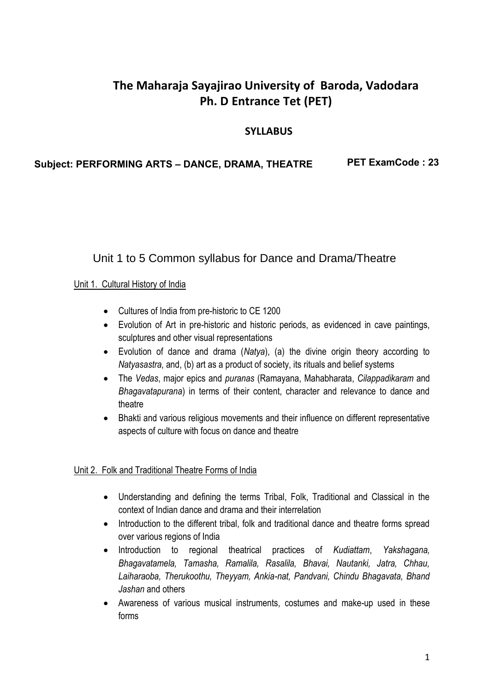## **The Maharaja Sayajirao University of Baroda, Vadodara Ph. D Entrance Tet (PET)**

### **SYLLABUS**

#### **Subject: PERFORMING ARTS – DANCE, DRAMA, THEATRE PET ExamCode : 23**

## Unit 1 to 5 Common syllabus for Dance and Drama/Theatre

#### Unit 1. Cultural History of India

- Cultures of India from pre-historic to CE 1200
- Evolution of Art in pre-historic and historic periods, as evidenced in cave paintings, sculptures and other visual representations
- Evolution of dance and drama (*Natya*), (a) the divine origin theory according to *Natyasastra*, and, (b) art as a product of society, its rituals and belief systems
- The *Vedas*, major epics and *puranas* (Ramayana, Mahabharata, *Cilappadikaram* and *Bhagavatapurana*) in terms of their content, character and relevance to dance and theatre
- Bhakti and various religious movements and their influence on different representative aspects of culture with focus on dance and theatre

#### Unit 2. Folk and Traditional Theatre Forms of India

- Understanding and defining the terms Tribal, Folk, Traditional and Classical in the context of Indian dance and drama and their interrelation
- Introduction to the different tribal, folk and traditional dance and theatre forms spread over various regions of India
- Introduction to regional theatrical practices of *Kudiattam*, *Yakshagana, Bhagavatamela, Tamasha, Ramalila, Rasalila, Bhavai, Nautanki, Jatra, Chhau, Laiharaoba, Therukoothu, Theyyam, Ankia-nat, Pandvani, Chindu Bhagavata, Bhand Jashan* and others
- Awareness of various musical instruments, costumes and make-up used in these forms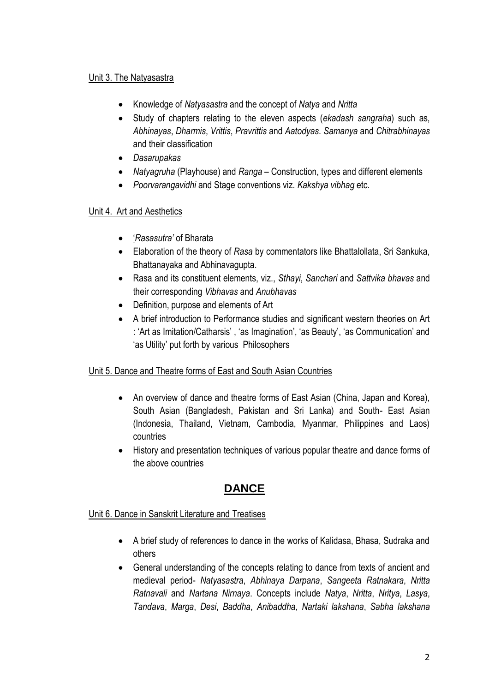#### Unit 3. The Natyasastra

- Knowledge of *Natyasastra* and the concept of *Natya* and *Nritta*
- Study of chapters relating to the eleven aspects (*ekadash sangraha*) such as, *Abhinayas*, *Dharmis*, *Vrittis*, *Pravrittis* and *Aatodyas*. *Samanya* and *Chitrabhinayas* and their classification
- *Dasarupakas*
- *Natyagruha* (Playhouse) and *Ranga* Construction, types and different elements
- *Poorvarangavidhi* and Stage conventions viz. *Kakshya vibhag* etc.

#### Unit 4. Art and Aesthetics

- '*Rasasutra'* of Bharata
- Elaboration of the theory of *Rasa* by commentators like Bhattalollata, Sri Sankuka, Bhattanayaka and Abhinavagupta.
- Rasa and its constituent elements, viz., *Sthayi*, *Sanchari* and *Sattvika bhavas* and their corresponding *Vibhavas* and *Anubhavas*
- Definition, purpose and elements of Art
- A brief introduction to Performance studies and significant western theories on Art : 'Art as Imitation/Catharsis' , 'as Imagination', 'as Beauty', 'as Communication' and 'as Utility' put forth by various Philosophers

#### Unit 5. Dance and Theatre forms of East and South Asian Countries

- An overview of dance and theatre forms of East Asian (China, Japan and Korea), South Asian (Bangladesh, Pakistan and Sri Lanka) and South- East Asian (Indonesia, Thailand, Vietnam, Cambodia, Myanmar, Philippines and Laos) countries
- History and presentation techniques of various popular theatre and dance forms of the above countries

# **DANCE**

#### Unit 6. Dance in Sanskrit Literature and Treatises

- A brief study of references to dance in the works of Kalidasa, Bhasa, Sudraka and others
- General understanding of the concepts relating to dance from texts of ancient and medieval period- *Natyasastra*, *Abhinaya Darpana*, *Sangeeta Ratnakara*, *Nritta Ratnavali* and *Nartana Nirnaya*. Concepts include *Natya*, *Nritta*, *Nritya*, *Lasya*, *Tandava*, *Marga*, *Desi*, *Baddha*, *Anibaddha*, *Nartaki lakshana*, *Sabha lakshana*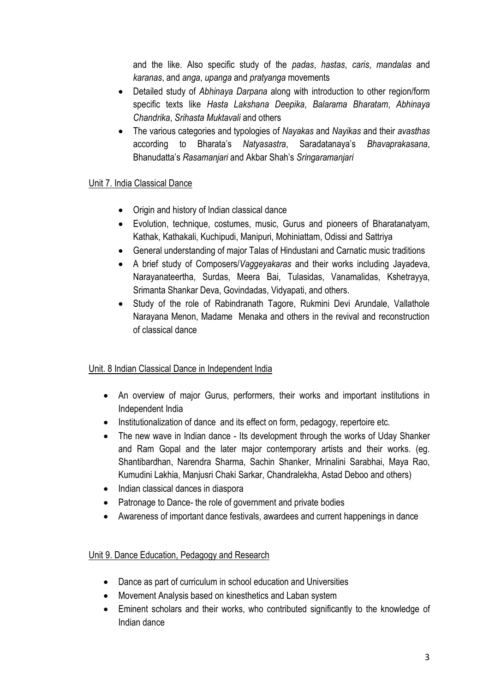and the like. Also specific study of the *padas*, *hastas*, *caris*, *mandalas* and *karanas*, and *anga*, *upanga* and *pratyanga* movements

- Detailed study of *Abhinaya Darpana* along with introduction to other region/form specific texts like *Hasta Lakshana Deepika*, *Balarama Bharatam*, *Abhinaya Chandrika*, *Srihasta Muktavali* and others
- The various categories and typologies of *Nayakas* and *Nayikas* and their *avasthas* according to Bharata's *Natyasastra*, Saradatanaya's *Bhavaprakasana*, Bhanudatta's *Rasamanjari* and Akbar Shah's *Sringaramanjari*

#### Unit 7. India Classical Dance

- Origin and history of Indian classical dance
- Evolution, technique, costumes, music, Gurus and pioneers of Bharatanatyam, Kathak, Kathakali, Kuchipudi, Manipuri, Mohiniattam, Odissi and Sattriya
- General understanding of major Talas of Hindustani and Carnatic music traditions
- A brief study of Composers/*Vaggeyakaras* and their works including Jayadeva, Narayanateertha, Surdas, Meera Bai, Tulasidas, Vanamalidas, Kshetrayya, Srimanta Shankar Deva, Govindadas, Vidyapati, and others.
- Study of the role of Rabindranath Tagore, Rukmini Devi Arundale, Vallathole Narayana Menon, Madame Menaka and others in the revival and reconstruction of classical dance

#### Unit. 8 Indian Classical Dance in Independent India

- An overview of major Gurus, performers, their works and important institutions in Independent India
- Institutionalization of dance and its effect on form, pedagogy, repertoire etc.
- The new wave in Indian dance Its development through the works of Uday Shanker and Ram Gopal and the later major contemporary artists and their works. (eg. Shantibardhan, Narendra Sharma, Sachin Shanker, Mrinalini Sarabhai, Maya Rao, Kumudini Lakhia, Manjusri Chaki Sarkar, Chandralekha, Astad Deboo and others)
- Indian classical dances in diaspora
- Patronage to Dance- the role of government and private bodies
- Awareness of important dance festivals, awardees and current happenings in dance

#### Unit 9. Dance Education, Pedagogy and Research

- Dance as part of curriculum in school education and Universities
- Movement Analysis based on kinesthetics and Laban system
- Eminent scholars and their works, who contributed significantly to the knowledge of Indian dance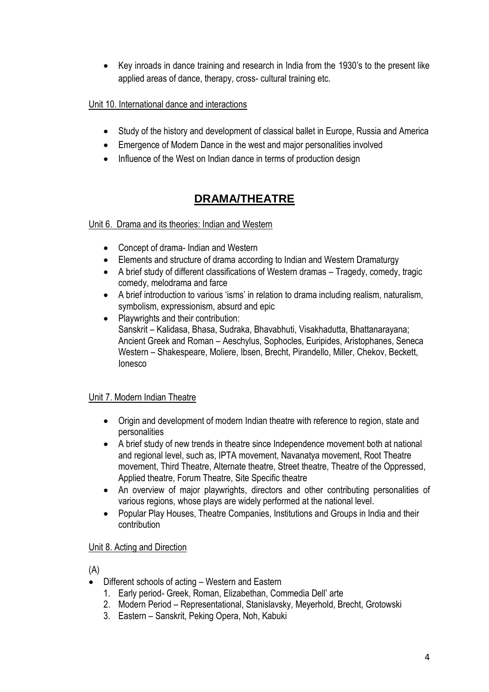Key inroads in dance training and research in India from the 1930's to the present like applied areas of dance, therapy, cross- cultural training etc.

### Unit 10. International dance and interactions

- Study of the history and development of classical ballet in Europe, Russia and America
- Emergence of Modern Dance in the west and major personalities involved
- Influence of the West on Indian dance in terms of production design

# **DRAMA/THEATRE**

#### Unit 6. Drama and its theories: Indian and Western

- Concept of drama- Indian and Western
- Elements and structure of drama according to Indian and Western Dramaturgy
- A brief study of different classifications of Western dramas Tragedy, comedy, tragic comedy, melodrama and farce
- A brief introduction to various 'isms' in relation to drama including realism, naturalism, symbolism, expressionism, absurd and epic
- Playwrights and their contribution: Sanskrit – Kalidasa, Bhasa, Sudraka, Bhavabhuti, Visakhadutta, Bhattanarayana; Ancient Greek and Roman – Aeschylus, Sophocles, Euripides, Aristophanes, Seneca Western – Shakespeare, Moliere, Ibsen, Brecht, Pirandello, Miller, Chekov, Beckett, Ionesco

## Unit 7. Modern Indian Theatre

- Origin and development of modern Indian theatre with reference to region, state and personalities
- A brief study of new trends in theatre since Independence movement both at national and regional level, such as, IPTA movement, Navanatya movement, Root Theatre movement, Third Theatre, Alternate theatre, Street theatre, Theatre of the Oppressed, Applied theatre, Forum Theatre, Site Specific theatre
- An overview of major playwrights, directors and other contributing personalities of various regions, whose plays are widely performed at the national level.
- Popular Play Houses, Theatre Companies, Institutions and Groups in India and their contribution

#### Unit 8. Acting and Direction

(A)

- Different schools of acting Western and Eastern
	- 1. Early period- Greek, Roman, Elizabethan, Commedia Dell' arte
	- 2. Modern Period Representational, Stanislavsky, Meyerhold, Brecht, Grotowski
	- 3. Eastern Sanskrit, Peking Opera, Noh, Kabuki